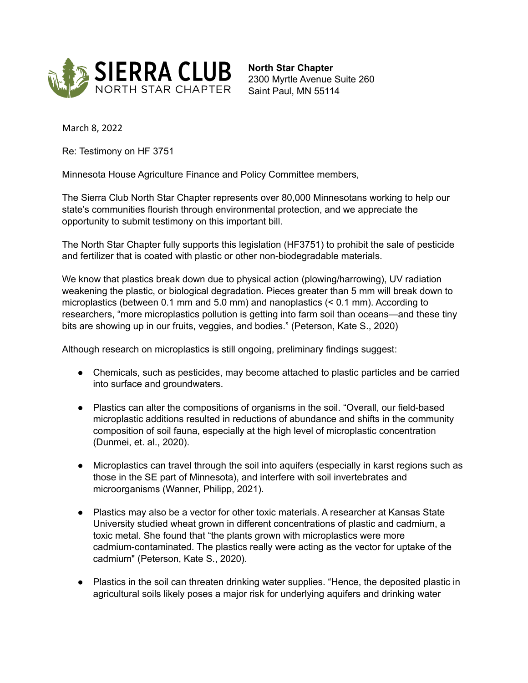

**North Star Chapter** 2300 Myrtle Avenue Suite 260 Saint Paul, MN 55114

March 8, 2022

Re: Testimony on HF 3751

Minnesota House Agriculture Finance and Policy Committee members,

The Sierra Club North Star Chapter represents over 80,000 Minnesotans working to help our state's communities flourish through environmental protection, and we appreciate the opportunity to submit testimony on this important bill.

The North Star Chapter fully supports this legislation (HF3751) to prohibit the sale of pesticide and fertilizer that is coated with plastic or other non-biodegradable materials.

We know that plastics break down due to physical action (plowing/harrowing), UV radiation weakening the plastic, or biological degradation. Pieces greater than 5 mm will break down to microplastics (between 0.1 mm and 5.0 mm) and nanoplastics (< 0.1 mm). According to researchers, "more microplastics pollution is getting into farm soil than oceans—and these tiny bits are showing up in our fruits, veggies, and bodies." (Peterson, Kate S., 2020)

Although research on microplastics is still ongoing, preliminary findings suggest:

- Chemicals, such as pesticides, may become attached to plastic particles and be carried into surface and groundwaters.
- Plastics can alter the compositions of organisms in the soil. "Overall, our field-based microplastic additions resulted in reductions of abundance and shifts in the community composition of soil fauna, especially at the high level of microplastic concentration (Dunmei, et. al., 2020).
- Microplastics can travel through the soil into aquifers (especially in karst regions such as those in the SE part of Minnesota), and interfere with soil invertebrates and microorganisms (Wanner, Philipp, 2021).
- Plastics may also be a vector for other toxic materials. A researcher at Kansas State University studied wheat grown in different concentrations of plastic and cadmium, a toxic metal. She found that "the plants grown with microplastics were more cadmium-contaminated. The plastics really were acting as the vector for uptake of the cadmium" (Peterson, Kate S., 2020).
- Plastics in the soil can threaten drinking water supplies. "Hence, the deposited plastic in agricultural soils likely poses a major risk for underlying aquifers and drinking water